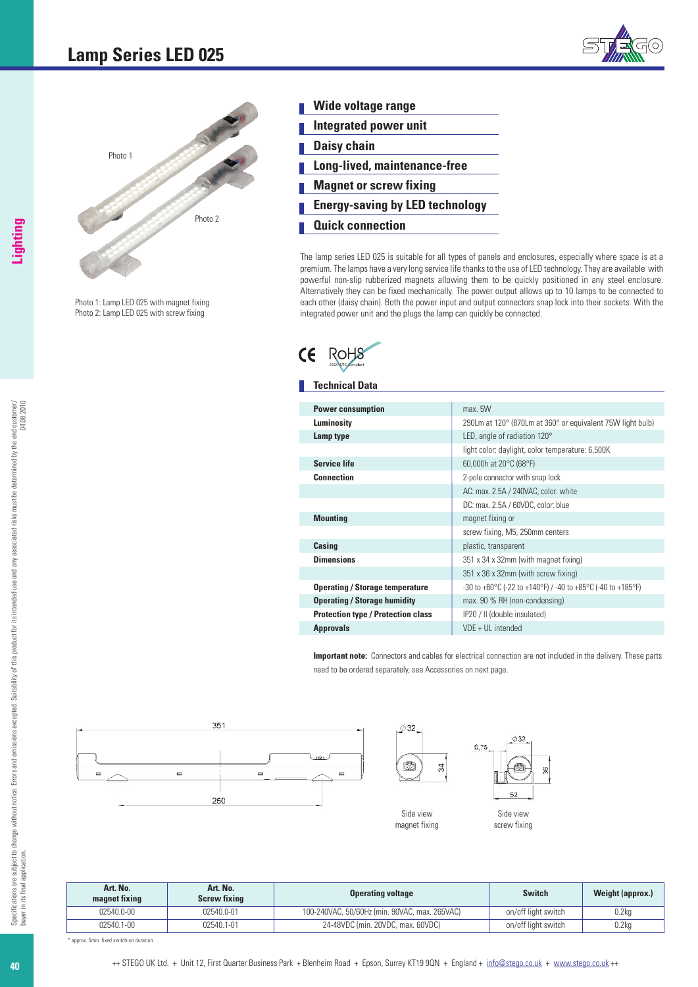



Photo 1: Lamp LED 025 with magnet fixing Photo 2: Lamp LED 025 with screw fixing

| Wide voltage range                     |
|----------------------------------------|
| <b>Integrated power unit</b>           |
| <b>Daisy chain</b>                     |
| Long-lived, maintenance-free           |
| <b>Magnet or screw fixing</b>          |
| <b>Energy-saving by LED technology</b> |
| <b>Quick connection</b>                |

The lamp series LED 025 is suitable for all types of panels and enclosures, especially where space is at a premium. The lamps have a very long service life thanks to the use of LED technology. They are available with powerful non-slip rubberized magnets allowing them to be quickly positioned in any steel enclosure. Alternatively they can be fixed mechanically. The power output allows up to 10 lamps to be connected to each other (daisy chain). Both the power input and output connectors snap lock into their sockets. With the integrated power unit and the plugs the lamp can quickly be connected.



## **Technical Data**

| <b>Power consumption</b>                  | max. 5W                                                     |
|-------------------------------------------|-------------------------------------------------------------|
| Luminosity                                | 290Lm at 120° (870Lm at 360° or equivalent 75W light bulb)  |
| Lamp type                                 | LED, angle of radiation 120°                                |
|                                           | light color: daylight, color temperature: 6,500K            |
| <b>Service life</b>                       | 60,000h at 20°C (68°F)                                      |
| <b>Connection</b>                         | 2-pole connector with snap lock                             |
|                                           | AC: max. 2.5A / 240VAC, color: white                        |
|                                           | DC: max. 2.5A / 60VDC, color: blue                          |
| <b>Mounting</b>                           | magnet fixing or                                            |
|                                           | screw fixing, M5, 250mm centers                             |
| Casing                                    | plastic, transparent                                        |
| <b>Dimensions</b>                         | 351 x 34 x 32mm (with magnet fixing)                        |
|                                           | 351 x 36 x 32mm (with screw fixing)                         |
| <b>Operating / Storage temperature</b>    | -30 to +60°C (-22 to +140°F) / -40 to +85°C (-40 to +185°F) |
| <b>Operating / Storage humidity</b>       | max. 90 % RH (non-condensing)                               |
| <b>Protection type / Protection class</b> | IP20 / II (double insulated)                                |
| <b>Approvals</b>                          | $VDE + UL$ intended                                         |

**Important note:** Connectors and cables for electrical connection are not included in the delivery. These parts need to be ordered separately, see Accessories on next page.



| Art. No.<br>magnet fixing | Art. No.<br><b>Screw fixing</b> | <b>Operating voltage</b>                      | <b>Switch</b>       | <b>Weight (approx.)</b> |
|---------------------------|---------------------------------|-----------------------------------------------|---------------------|-------------------------|
| 02540.0-00                | 02540.0-01                      | 100-240VAC, 50/60Hz (min. 90VAC, max. 265VAC) | on/off light switch | 0.2kg                   |
| $02540.1 - 00$            | 02540.1-01                      | 24-48VDC (min. 20VDC, max. 60VDC)             | on/off light switch | 0.2kg                   |

\* approx. 5min. fixed switch-on duration

**40**